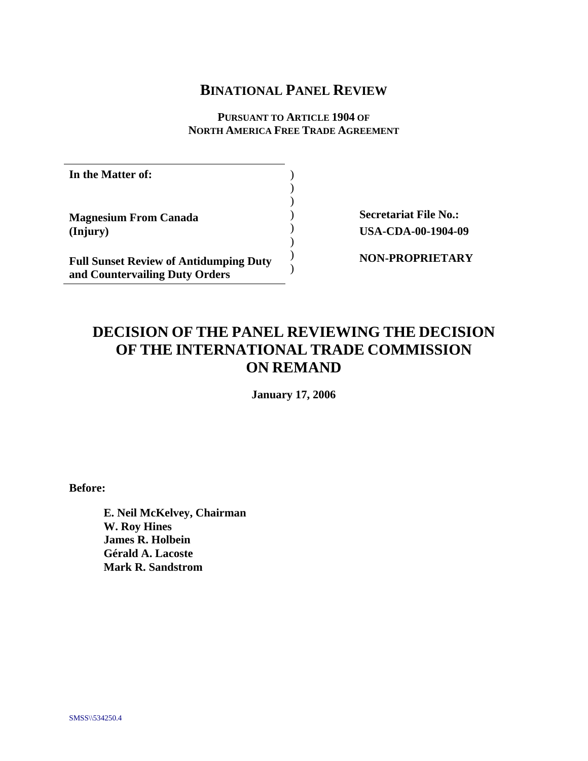# **BINATIONAL PANEL REVIEW**

**PURSUANT TO ARTICLE 1904 OF NORTH AMERICA FREE TRADE AGREEMENT**

> ) ) ) ) )  $\lambda$ )  $\lambda$

**In the Matter of:** 

**Magnesium From Canada (Injury)** 

**Full Sunset Review of Antidumping Duty and Countervailing Duty Orders**

**Secretariat File No.: USA-CDA-00-1904-09** 

**NON-PROPRIETARY**

# **DECISION OF THE PANEL REVIEWING THE DECISION OF THE INTERNATIONAL TRADE COMMISSION ON REMAND**

**January 17, 2006** 

**Before:** 

**E. Neil McKelvey, Chairman W. Roy Hines James R. Holbein Gérald A. Lacoste Mark R. Sandstrom**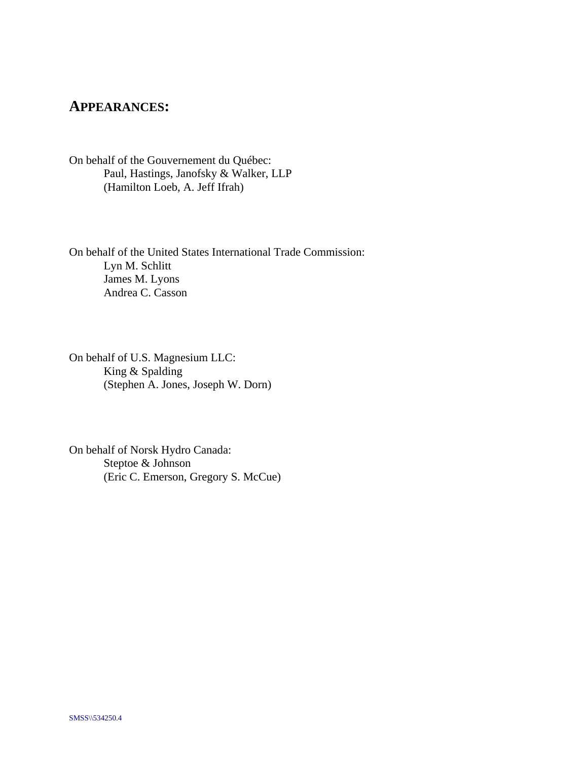## **APPEARANCES:**

On behalf of the Gouvernement du Québec: Paul, Hastings, Janofsky & Walker, LLP (Hamilton Loeb, A. Jeff Ifrah)

On behalf of the United States International Trade Commission: Lyn M. Schlitt James M. Lyons Andrea C. Casson

On behalf of U.S. Magnesium LLC: King & Spalding (Stephen A. Jones, Joseph W. Dorn)

On behalf of Norsk Hydro Canada: Steptoe & Johnson (Eric C. Emerson, Gregory S. McCue)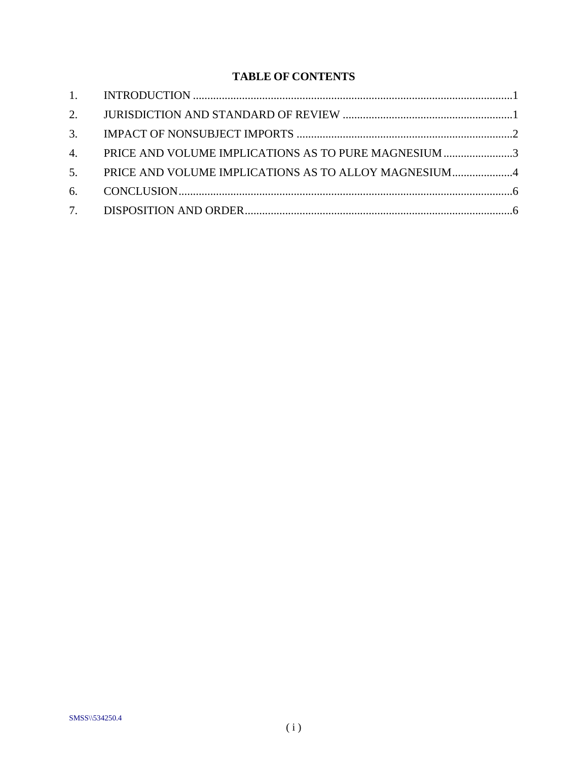# **TABLE OF CONTENTS**

| 4. PRICE AND VOLUME IMPLICATIONS AS TO PURE MAGNESIUM 3 |  |
|---------------------------------------------------------|--|
| 5. PRICE AND VOLUME IMPLICATIONS AS TO ALLOY MAGNESIUM4 |  |
|                                                         |  |
|                                                         |  |
|                                                         |  |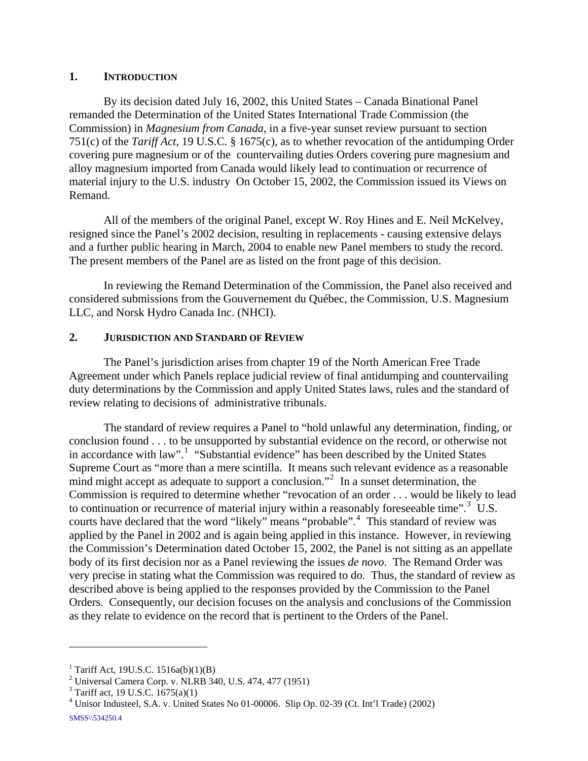## <span id="page-3-0"></span>**1. INTRODUCTION**

By its decision dated July 16, 2002, this United States – Canada Binational Panel remanded the Determination of the United States International Trade Commission (the Commission) in *Magnesium from Canada*, in a five-year sunset review pursuant to section 751(c) of the *Tariff Act*, 19 U.S.C. § 1675(c), as to whether revocation of the antidumping Order covering pure magnesium or of the countervailing duties Orders covering pure magnesium and alloy magnesium imported from Canada would likely lead to continuation or recurrence of material injury to the U.S. industry On October 15, 2002, the Commission issued its Views on Remand.

All of the members of the original Panel, except W. Roy Hines and E. Neil McKelvey, resigned since the Panel's 2002 decision, resulting in replacements - causing extensive delays and a further public hearing in March, 2004 to enable new Panel members to study the record. The present members of the Panel are as listed on the front page of this decision.

In reviewing the Remand Determination of the Commission, the Panel also received and considered submissions from the Gouvernement du Québec, the Commission, U.S. Magnesium LLC, and Norsk Hydro Canada Inc. (NHCI).

## **2. JURISDICTION AND STANDARD OF REVIEW**

The Panel's jurisdiction arises from chapter 19 of the North American Free Trade Agreement under which Panels replace judicial review of final antidumping and countervailing duty determinations by the Commission and apply United States laws, rules and the standard of review relating to decisions of administrative tribunals.

The standard of review requires a Panel to "hold unlawful any determination, finding, or conclusion found . . . to be unsupported by substantial evidence on the record, or otherwise not in accordance with law".<sup>[1](#page-3-1)</sup> "Substantial evidence" has been described by the United States Supreme Court as "more than a mere scintilla. It means such relevant evidence as a reasonable mind might accept as adequate to support a conclusion."<sup>[2](#page-3-2)</sup> In a sunset determination, the Commission is required to determine whether "revocation of an order . . . would be likely to lead to continuation or recurrence of material injury within a reasonably foreseeable time".<sup>[3](#page-3-3)</sup> U.S. courts have declared that the word "likely" means "probable".<sup>[4](#page-3-4)</sup> This standard of review was applied by the Panel in 2002 and is again being applied in this instance. However, in reviewing the Commission's Determination dated October 15, 2002, the Panel is not sitting as an appellate body of its first decision nor as a Panel reviewing the issues *de novo*. The Remand Order was very precise in stating what the Commission was required to do. Thus, the standard of review as described above is being applied to the responses provided by the Commission to the Panel Orders. Consequently, our decision focuses on the analysis and conclusions of the Commission as they relate to evidence on the record that is pertinent to the Orders of the Panel.

<span id="page-3-1"></span><sup>&</sup>lt;sup>1</sup> Tariff Act, 19U.S.C. 1516a(b)(1)(B)

<span id="page-3-2"></span><sup>&</sup>lt;sup>2</sup> Universal Camera Corp. v. NLRB 340, U.S. 474, 477 (1951)

<span id="page-3-3"></span> $3 \text{ Tariff act}, 19 \text{ U.S.C. } 1675(a)(1)$ 

<span id="page-3-4"></span><sup>4</sup> Unisor Industeel, S.A. v. United States No 01-00006. Slip Op. 02-39 (Ct. Int'l Trade) (2002) SMSS\\534250.4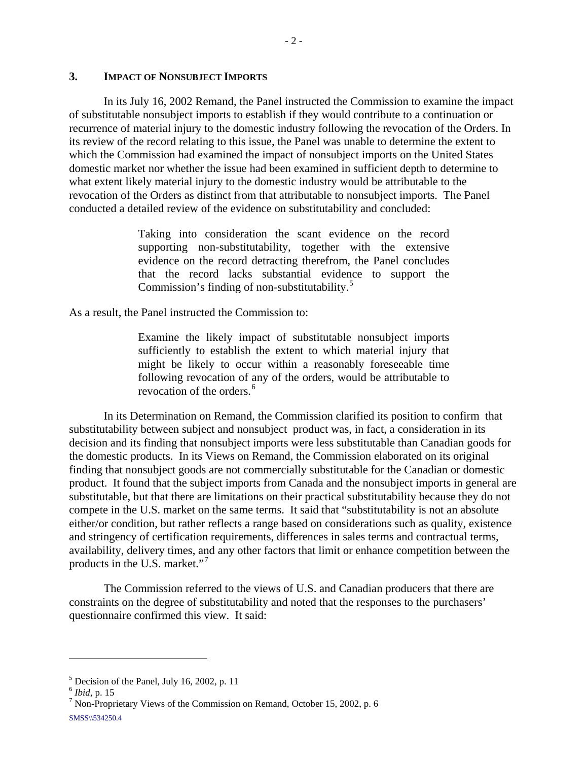## <span id="page-4-0"></span>**3. IMPACT OF NONSUBJECT IMPORTS**

In its July 16, 2002 Remand, the Panel instructed the Commission to examine the impact of substitutable nonsubject imports to establish if they would contribute to a continuation or recurrence of material injury to the domestic industry following the revocation of the Orders. In its review of the record relating to this issue, the Panel was unable to determine the extent to which the Commission had examined the impact of nonsubject imports on the United States domestic market nor whether the issue had been examined in sufficient depth to determine to what extent likely material injury to the domestic industry would be attributable to the revocation of the Orders as distinct from that attributable to nonsubject imports. The Panel conducted a detailed review of the evidence on substitutability and concluded:

> Taking into consideration the scant evidence on the record supporting non-substitutability, together with the extensive evidence on the record detracting therefrom, the Panel concludes that the record lacks substantial evidence to support the Commission's finding of non-substitutability.<sup>[5](#page-4-1)</sup>

As a result, the Panel instructed the Commission to:

Examine the likely impact of substitutable nonsubject imports sufficiently to establish the extent to which material injury that might be likely to occur within a reasonably foreseeable time following revocation of any of the orders, would be attributable to revocation of the orders.<sup>[6](#page-4-2)</sup>

In its Determination on Remand, the Commission clarified its position to confirm that substitutability between subject and nonsubject product was, in fact, a consideration in its decision and its finding that nonsubject imports were less substitutable than Canadian goods for the domestic products. In its Views on Remand, the Commission elaborated on its original finding that nonsubject goods are not commercially substitutable for the Canadian or domestic product. It found that the subject imports from Canada and the nonsubject imports in general are substitutable, but that there are limitations on their practical substitutability because they do not compete in the U.S. market on the same terms. It said that "substitutability is not an absolute either/or condition, but rather reflects a range based on considerations such as quality, existence and stringency of certification requirements, differences in sales terms and contractual terms, availability, delivery times, and any other factors that limit or enhance competition between the products in the U.S. market."<sup>[7](#page-4-3)</sup>

The Commission referred to the views of U.S. and Canadian producers that there are constraints on the degree of substitutability and noted that the responses to the purchasers' questionnaire confirmed this view. It said:

<span id="page-4-1"></span> $<sup>5</sup>$  Decision of the Panel, July 16, 2002, p. 11</sup>

<span id="page-4-2"></span><sup>6</sup> *Ibid*, p. 15 7

<span id="page-4-3"></span> $\frac{7}{1}$  Non-Proprietary Views of the Commission on Remand, October 15, 2002, p. 6 SMSS\\534250.4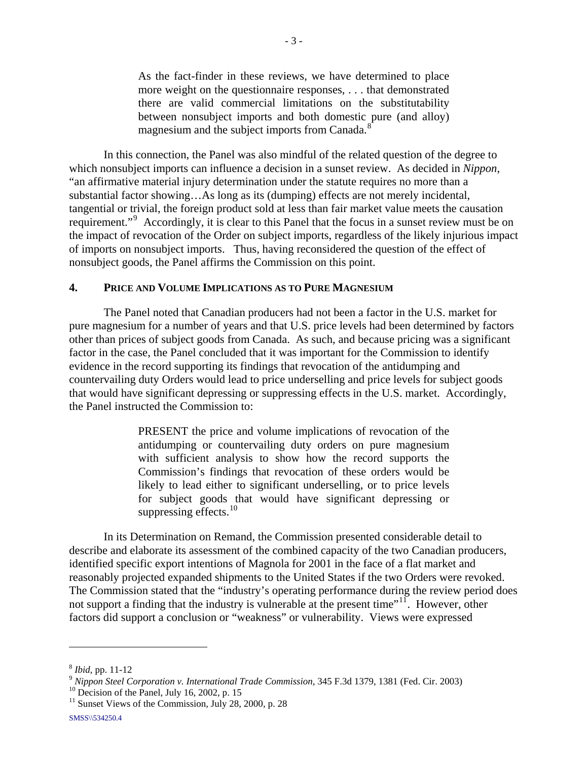<span id="page-5-0"></span>As the fact-finder in these reviews, we have determined to place more weight on the questionnaire responses, . . . that demonstrated there are valid commercial limitations on the substitutability between nonsubject imports and both domestic pure (and alloy) magnesium and the subject imports from Canada.<sup>[8](#page-5-1)</sup>

In this connection, the Panel was also mindful of the related question of the degree to which nonsubject imports can influence a decision in a sunset review. As decided in *Nippon*, "an affirmative material injury determination under the statute requires no more than a substantial factor showing…As long as its (dumping) effects are not merely incidental, tangential or trivial, the foreign product sold at less than fair market value meets the causation requirement."<sup>[9](#page-5-2)</sup> Accordingly, it is clear to this Panel that the focus in a sunset review must be on the impact of revocation of the Order on subject imports, regardless of the likely injurious impact of imports on nonsubject imports. Thus, having reconsidered the question of the effect of nonsubject goods, the Panel affirms the Commission on this point.

#### **4. PRICE AND VOLUME IMPLICATIONS AS TO PURE MAGNESIUM**

The Panel noted that Canadian producers had not been a factor in the U.S. market for pure magnesium for a number of years and that U.S. price levels had been determined by factors other than prices of subject goods from Canada. As such, and because pricing was a significant factor in the case, the Panel concluded that it was important for the Commission to identify evidence in the record supporting its findings that revocation of the antidumping and countervailing duty Orders would lead to price underselling and price levels for subject goods that would have significant depressing or suppressing effects in the U.S. market. Accordingly, the Panel instructed the Commission to:

> PRESENT the price and volume implications of revocation of the antidumping or countervailing duty orders on pure magnesium with sufficient analysis to show how the record supports the Commission's findings that revocation of these orders would be likely to lead either to significant underselling, or to price levels for subject goods that would have significant depressing or suppressing effects. $10$

In its Determination on Remand, the Commission presented considerable detail to describe and elaborate its assessment of the combined capacity of the two Canadian producers, identified specific export intentions of Magnola for 2001 in the face of a flat market and reasonably projected expanded shipments to the United States if the two Orders were revoked. The Commission stated that the "industry's operating performance during the review period does not support a finding that the industry is vulnerable at the present time"<sup>[11](#page-5-4)</sup>. However, other factors did support a conclusion or "weakness" or vulnerability. Views were expressed

<span id="page-5-2"></span><span id="page-5-1"></span><sup>&</sup>lt;sup>8</sup> *Ibid*, pp. 11-12<br><sup>9</sup> *Nippon Steel Corporation v. International Trade Commission*, 345 F.3d 1379, 1381 (Fed. Cir. 2003) <sup>10</sup> Decision of the Panel, July 16, 2002, p. 15

<span id="page-5-3"></span>

<span id="page-5-4"></span> $11$  Sunset Views of the Commission, July 28, 2000, p. 28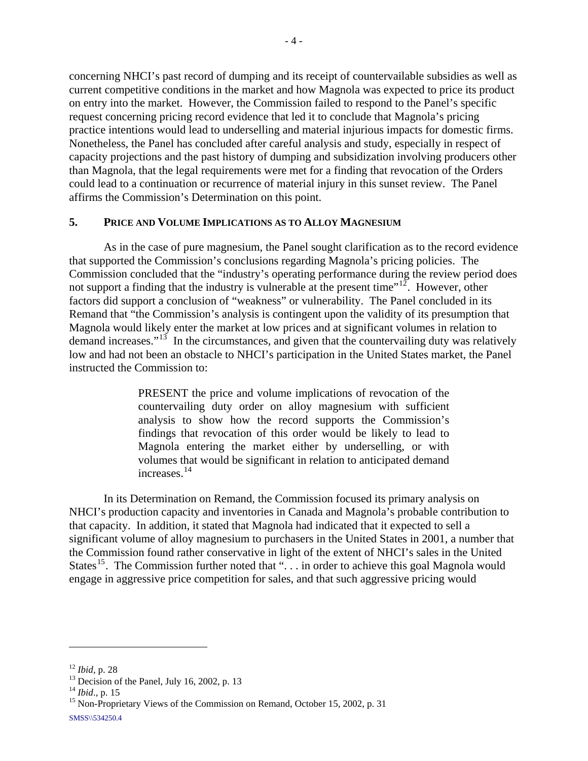<span id="page-6-0"></span>concerning NHCI's past record of dumping and its receipt of countervailable subsidies as well as current competitive conditions in the market and how Magnola was expected to price its product on entry into the market. However, the Commission failed to respond to the Panel's specific request concerning pricing record evidence that led it to conclude that Magnola's pricing practice intentions would lead to underselling and material injurious impacts for domestic firms. Nonetheless, the Panel has concluded after careful analysis and study, especially in respect of capacity projections and the past history of dumping and subsidization involving producers other than Magnola, that the legal requirements were met for a finding that revocation of the Orders could lead to a continuation or recurrence of material injury in this sunset review. The Panel affirms the Commission's Determination on this point.

## **5. PRICE AND VOLUME IMPLICATIONS AS TO ALLOY MAGNESIUM**

As in the case of pure magnesium, the Panel sought clarification as to the record evidence that supported the Commission's conclusions regarding Magnola's pricing policies. The Commission concluded that the "industry's operating performance during the review period does not support a finding that the industry is vulnerable at the present time"<sup>[12](#page-6-1)</sup>. However, other factors did support a conclusion of "weakness" or vulnerability. The Panel concluded in its Remand that "the Commission's analysis is contingent upon the validity of its presumption that Magnola would likely enter the market at low prices and at significant volumes in relation to demand increases." $13$  In the circumstances, and given that the countervailing duty was relatively low and had not been an obstacle to NHCI's participation in the United States market, the Panel instructed the Commission to:

> PRESENT the price and volume implications of revocation of the countervailing duty order on alloy magnesium with sufficient analysis to show how the record supports the Commission's findings that revocation of this order would be likely to lead to Magnola entering the market either by underselling, or with volumes that would be significant in relation to anticipated demand increases.[14](#page-6-3)

In its Determination on Remand, the Commission focused its primary analysis on NHCI's production capacity and inventories in Canada and Magnola's probable contribution to that capacity. In addition, it stated that Magnola had indicated that it expected to sell a significant volume of alloy magnesium to purchasers in the United States in 2001, a number that the Commission found rather conservative in light of the extent of NHCI's sales in the United States<sup>[15](#page-6-4)</sup>. The Commission further noted that " $\dots$  in order to achieve this goal Magnola would engage in aggressive price competition for sales, and that such aggressive pricing would

<span id="page-6-1"></span><sup>&</sup>lt;sup>12</sup> *Ibid*, p. 28<br><sup>13</sup> Decision of the Panel, July 16, 2002, p. 13<br><sup>14</sup> *Ibid*., p. 15

<span id="page-6-3"></span><span id="page-6-2"></span>

<span id="page-6-4"></span><sup>&</sup>lt;sup>15</sup> Non-Proprietary Views of the Commission on Remand, October 15, 2002, p. 31 SMSS\\534250.4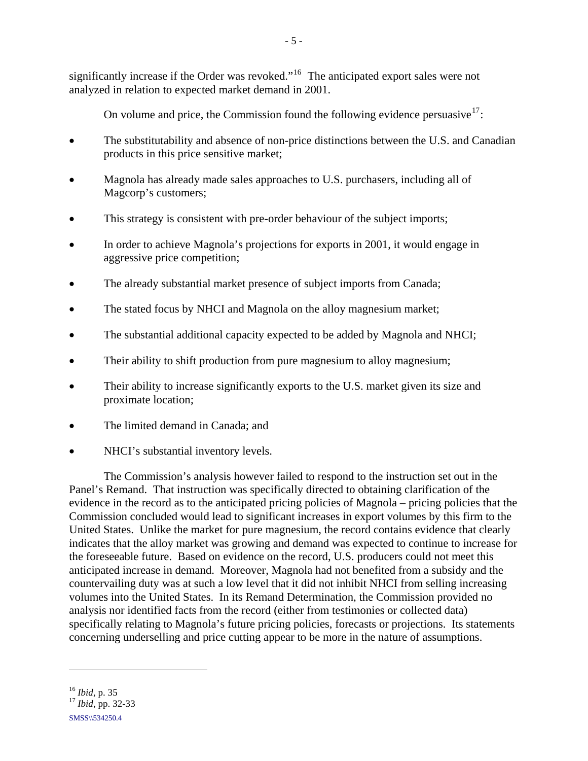significantly increase if the Order was revoked."<sup>[16](#page-7-0)</sup> The anticipated export sales were not analyzed in relation to expected market demand in 2001.

On volume and price, the Commission found the following evidence persuasive  $17$ :

- The substitutability and absence of non-price distinctions between the U.S. and Canadian products in this price sensitive market;
- Magnola has already made sales approaches to U.S. purchasers, including all of Magcorp's customers;
- This strategy is consistent with pre-order behaviour of the subject imports;
- In order to achieve Magnola's projections for exports in 2001, it would engage in aggressive price competition;
- The already substantial market presence of subject imports from Canada;
- The stated focus by NHCI and Magnola on the alloy magnesium market;
- The substantial additional capacity expected to be added by Magnola and NHCI;
- Their ability to shift production from pure magnesium to alloy magnesium;
- Their ability to increase significantly exports to the U.S. market given its size and proximate location;
- The limited demand in Canada; and
- NHCI's substantial inventory levels.

The Commission's analysis however failed to respond to the instruction set out in the Panel's Remand. That instruction was specifically directed to obtaining clarification of the evidence in the record as to the anticipated pricing policies of Magnola – pricing policies that the Commission concluded would lead to significant increases in export volumes by this firm to the United States. Unlike the market for pure magnesium, the record contains evidence that clearly indicates that the alloy market was growing and demand was expected to continue to increase for the foreseeable future. Based on evidence on the record, U.S. producers could not meet this anticipated increase in demand. Moreover, Magnola had not benefited from a subsidy and the countervailing duty was at such a low level that it did not inhibit NHCI from selling increasing volumes into the United States. In its Remand Determination, the Commission provided no analysis nor identified facts from the record (either from testimonies or collected data) specifically relating to Magnola's future pricing policies, forecasts or projections. Its statements concerning underselling and price cutting appear to be more in the nature of assumptions.

1

<span id="page-7-0"></span><sup>16</sup> *Ibid*, p. 35 17 *Ibid*, pp. 32-33

<span id="page-7-1"></span>SMSS\\534250.4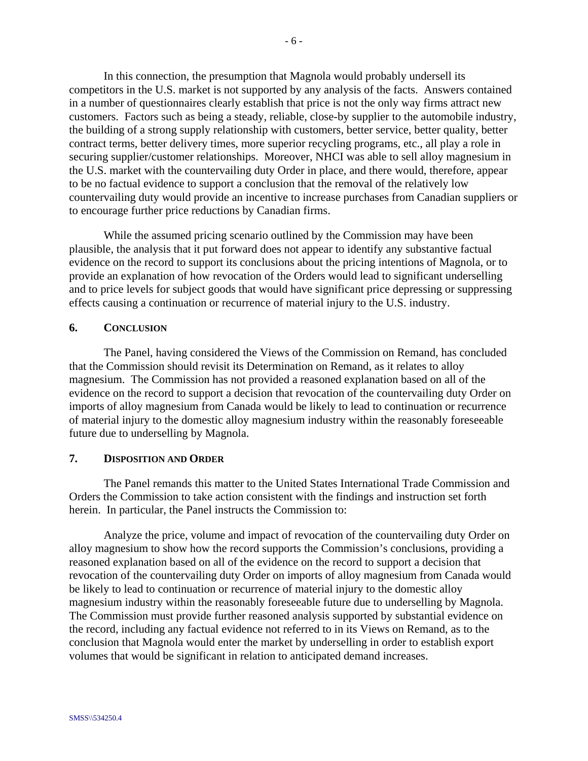<span id="page-8-0"></span>In this connection, the presumption that Magnola would probably undersell its competitors in the U.S. market is not supported by any analysis of the facts. Answers contained in a number of questionnaires clearly establish that price is not the only way firms attract new customers. Factors such as being a steady, reliable, close-by supplier to the automobile industry, the building of a strong supply relationship with customers, better service, better quality, better contract terms, better delivery times, more superior recycling programs, etc., all play a role in securing supplier/customer relationships. Moreover, NHCI was able to sell alloy magnesium in the U.S. market with the countervailing duty Order in place, and there would, therefore, appear to be no factual evidence to support a conclusion that the removal of the relatively low countervailing duty would provide an incentive to increase purchases from Canadian suppliers or to encourage further price reductions by Canadian firms.

While the assumed pricing scenario outlined by the Commission may have been plausible, the analysis that it put forward does not appear to identify any substantive factual evidence on the record to support its conclusions about the pricing intentions of Magnola, or to provide an explanation of how revocation of the Orders would lead to significant underselling and to price levels for subject goods that would have significant price depressing or suppressing effects causing a continuation or recurrence of material injury to the U.S. industry.

#### **6. CONCLUSION**

The Panel, having considered the Views of the Commission on Remand, has concluded that the Commission should revisit its Determination on Remand, as it relates to alloy magnesium. The Commission has not provided a reasoned explanation based on all of the evidence on the record to support a decision that revocation of the countervailing duty Order on imports of alloy magnesium from Canada would be likely to lead to continuation or recurrence of material injury to the domestic alloy magnesium industry within the reasonably foreseeable future due to underselling by Magnola.

#### **7. DISPOSITION AND ORDER**

The Panel remands this matter to the United States International Trade Commission and Orders the Commission to take action consistent with the findings and instruction set forth herein. In particular, the Panel instructs the Commission to:

Analyze the price, volume and impact of revocation of the countervailing duty Order on alloy magnesium to show how the record supports the Commission's conclusions, providing a reasoned explanation based on all of the evidence on the record to support a decision that revocation of the countervailing duty Order on imports of alloy magnesium from Canada would be likely to lead to continuation or recurrence of material injury to the domestic alloy magnesium industry within the reasonably foreseeable future due to underselling by Magnola. The Commission must provide further reasoned analysis supported by substantial evidence on the record, including any factual evidence not referred to in its Views on Remand, as to the conclusion that Magnola would enter the market by underselling in order to establish export volumes that would be significant in relation to anticipated demand increases.